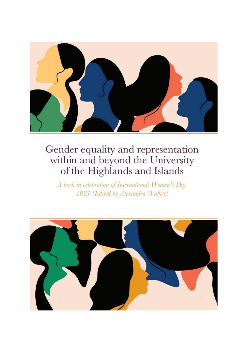

## Gender equality and representation<br>within and beyond the University<br>of the Highlands and Islands

A bock in celebration of International Women's Day 2021 (Edited by Alexandra Walker)

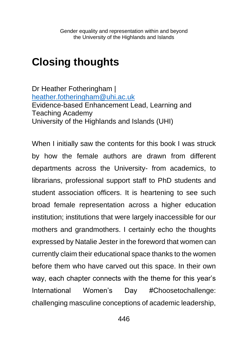## **Closing thoughts**

Dr Heather Fotheringham | [heather.fotheringham@uhi.ac.uk](mailto:heather.fotheringham@uhi.ac.uk) Evidence-based Enhancement Lead, Learning and Teaching Academy University of the Highlands and Islands (UHI)

When I initially saw the contents for this book I was struck by how the female authors are drawn from different departments across the University- from academics, to librarians, professional support staff to PhD students and student association officers. It is heartening to see such broad female representation across a higher education institution; institutions that were largely inaccessible for our mothers and grandmothers. I certainly echo the thoughts expressed by Natalie Jester in the foreword that women can currently claim their educational space thanks to the women before them who have carved out this space. In their own way, each chapter connects with the theme for this year's International Women's Day #Choosetochallenge: challenging masculine conceptions of academic leadership,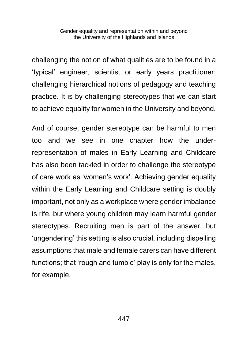Gender equality and representation within and beyond the University of the Highlands and Islands

challenging the notion of what qualities are to be found in a 'typical' engineer, scientist or early years practitioner; challenging hierarchical notions of pedagogy and teaching practice. It is by challenging stereotypes that we can start to achieve equality for women in the University and beyond.

And of course, gender stereotype can be harmful to men too and we see in one chapter how the underrepresentation of males in Early Learning and Childcare has also been tackled in order to challenge the stereotype of care work as 'women's work'. Achieving gender equality within the Early Learning and Childcare setting is doubly important, not only as a workplace where gender imbalance is rife, but where young children may learn harmful gender stereotypes. Recruiting men is part of the answer, but 'ungendering' this setting is also crucial, including dispelling assumptions that male and female carers can have different functions; that 'rough and tumble' play is only for the males, for example.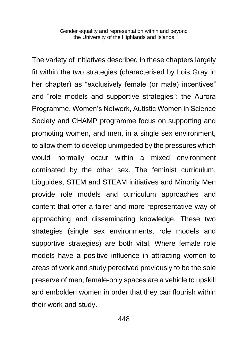Gender equality and representation within and beyond the University of the Highlands and Islands

The variety of initiatives described in these chapters largely fit within the two strategies (characterised by Lois Gray in her chapter) as "exclusively female (or male) incentives" and "role models and supportive strategies": the Aurora Programme, Women's Network, Autistic Women in Science Society and CHAMP programme focus on supporting and promoting women, and men, in a single sex environment, to allow them to develop unimpeded by the pressures which would normally occur within a mixed environment dominated by the other sex. The feminist curriculum, Libguides, STEM and STEAM initiatives and Minority Men provide role models and curriculum approaches and content that offer a fairer and more representative way of approaching and disseminating knowledge. These two strategies (single sex environments, role models and supportive strategies) are both vital. Where female role models have a positive influence in attracting women to areas of work and study perceived previously to be the sole preserve of men, female-only spaces are a vehicle to upskill and embolden women in order that they can flourish within their work and study.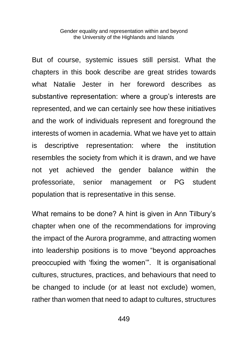Gender equality and representation within and beyond the University of the Highlands and Islands

But of course, systemic issues still persist. What the chapters in this book describe are great strides towards what Natalie Jester in her foreword describes as substantive representation: where a group's interests are represented, and we can certainly see how these initiatives and the work of individuals represent and foreground the interests of women in academia. What we have yet to attain is descriptive representation: where the institution resembles the society from which it is drawn, and we have not yet achieved the gender balance within the professoriate, senior management or PG student population that is representative in this sense.

What remains to be done? A hint is given in Ann Tilbury's chapter when one of the recommendations for improving the impact of the Aurora programme, and attracting women into leadership positions is to move "beyond approaches preoccupied with 'fixing the women'". It is organisational cultures, structures, practices, and behaviours that need to be changed to include (or at least not exclude) women, rather than women that need to adapt to cultures, structures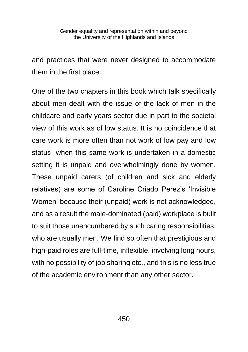and practices that were never designed to accommodate them in the first place.

One of the two chapters in this book which talk specifically about men dealt with the issue of the lack of men in the childcare and early years sector due in part to the societal view of this work as of low status. It is no coincidence that care work is more often than not work of low pay and low status- when this same work is undertaken in a domestic setting it is unpaid and overwhelmingly done by women. These unpaid carers (of children and sick and elderly relatives) are some of Caroline Criado Perez's 'Invisible Women' because their (unpaid) work is not acknowledged, and as a result the male-dominated (paid) workplace is built to suit those unencumbered by such caring responsibilities, who are usually men. We find so often that prestigious and high-paid roles are full-time, inflexible, involving long hours, with no possibility of job sharing etc., and this is no less true of the academic environment than any other sector.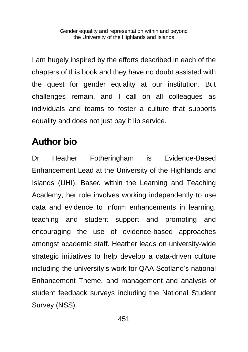I am hugely inspired by the efforts described in each of the chapters of this book and they have no doubt assisted with the quest for gender equality at our institution. But challenges remain, and I call on all colleagues as individuals and teams to foster a culture that supports equality and does not just pay it lip service.

## **Author bio**

Dr Heather Fotheringham is Evidence-Based Enhancement Lead at the University of the Highlands and Islands (UHI). Based within the Learning and Teaching Academy, her role involves working independently to use data and evidence to inform enhancements in learning, teaching and student support and promoting and encouraging the use of evidence-based approaches amongst academic staff. Heather leads on university-wide strategic initiatives to help develop a data-driven culture including the university's work for QAA Scotland's national Enhancement Theme, and management and analysis of student feedback surveys including the National Student Survey (NSS).